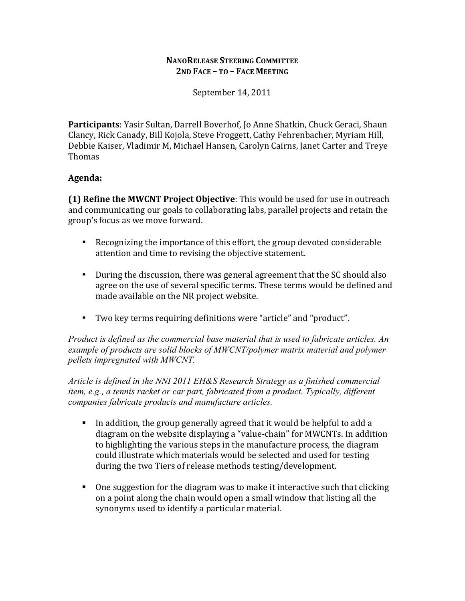#### **NANORELEASE STEERING COMMITTEE 2ND FACE – TO – FACE MEETING**

September 14, 2011

**Participants**: Yasir Sultan, Darrell Boverhof, Jo Anne Shatkin, Chuck Geraci, Shaun Clancy, Rick Canady, Bill Kojola, Steve Froggett, Cathy Fehrenbacher, Myriam Hill, Debbie Kaiser, Vladimir M, Michael Hansen, Carolyn Cairns, Janet Carter and Treye Thomas

## **Agenda:**

**(1) Refine the MWCNT Project Objective**: This would be used for use in outreach and communicating our goals to collaborating labs, parallel projects and retain the group's focus as we move forward.

- Recognizing the importance of this effort, the group devoted considerable attention and time to revising the objective statement.
- During the discussion, there was general agreement that the SC should also agree on the use of several specific terms. These terms would be defined and made available on the NR project website.
- Two key terms requiring definitions were "article" and "product".

*Product is defined as the commercial base material that is used to fabricate articles. An example of products are solid blocks of MWCNT/polymer matrix material and polymer pellets impregnated with MWCNT.*

*Article is defined in the NNI 2011 EH&S Research Strategy as a finished commercial item, e.g., a tennis racket or car part, fabricated from a product. Typically, different companies fabricate products and manufacture articles.*

- In addition, the group generally agreed that it would be helpful to add a diagram on the website displaying a "value-chain" for MWCNTs. In addition to highlighting the various steps in the manufacture process, the diagram could illustrate which materials would be selected and used for testing during the two Tiers of release methods testing/development.
- $\blacksquare$  One suggestion for the diagram was to make it interactive such that clicking on a point along the chain would open a small window that listing all the synonyms used to identify a particular material.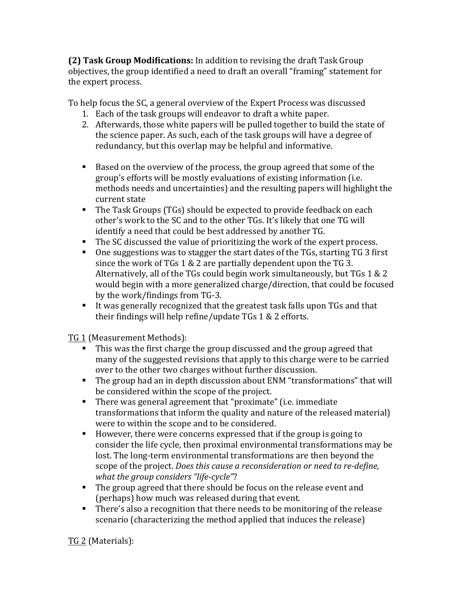**(2) Task Group Modifications:** In addition to revising the draft Task Group objectives, the group identified a need to draft an overall "framing" statement for the expert process.

To help focus the SC, a general overview of the Expert Process was discussed

- 1. Each of the task groups will endeavor to draft a white paper.
- 2. Afterwards, those white papers will be pulled together to build the state of the science paper. As such, each of the task groups will have a degree of redundancy, but this overlap may be helpful and informative.
- Based on the overview of the process, the group agreed that some of the group's efforts will be mostly evaluations of existing information (i.e. methods needs and uncertainties) and the resulting papers will highlight the current state
- The Task Groups (TGs) should be expected to provide feedback on each other's work to the SC and to the other TGs. It's likely that one TG will identify a need that could be best addressed by another TG.
- $\blacksquare$  The SC discussed the value of prioritizing the work of the expert process.
- One suggestions was to stagger the start dates of the TGs, starting TG 3 first since the work of TGs  $1 \& 2$  are partially dependent upon the TG 3. Alternatively, all of the TGs could begin work simultaneously, but TGs  $1 \& 2$ would begin with a more generalized charge/direction, that could be focused by the work/findings from TG-3.
- It was generally recognized that the greatest task falls upon  $TGs$  and that their findings will help refine/update  $TGs 1 & 2$  efforts.

TG 1 (Measurement Methods):

- $\blacksquare$  This was the first charge the group discussed and the group agreed that many of the suggested revisions that apply to this charge were to be carried over to the other two charges without further discussion.
- The group had an in depth discussion about ENM "transformations" that will be considered within the scope of the project.
- There was general agreement that "proximate" (i.e. immediate transformations that inform the quality and nature of the released material) were to within the scope and to be considered.
- $\blacksquare$  However, there were concerns expressed that if the group is going to consider the life cycle, then proximal environmental transformations may be lost. The long-term environmental transformations are then beyond the scope of the project. *Does this cause a reconsideration or need to re-define*, *what the group considers "life-cycle"?*
- $\blacksquare$  The group agreed that there should be focus on the release event and (perhaps) how much was released during that event.
- **There's also a recognition that there needs to be monitoring of the release** scenario (characterizing the method applied that induces the release)

TG 2 (Materials):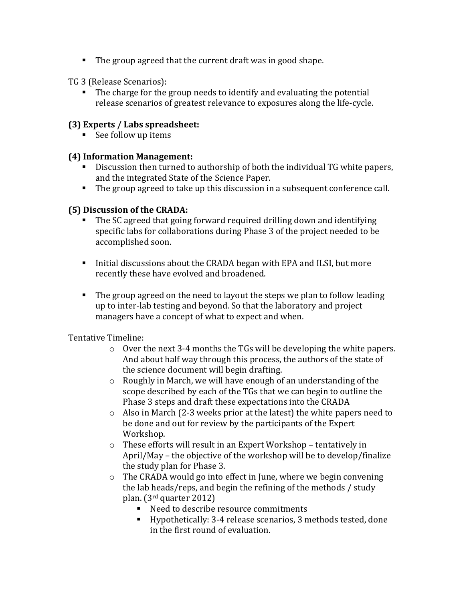$\blacksquare$  The group agreed that the current draft was in good shape.

#### TG 3 (Release Scenarios):

 $\blacksquare$  The charge for the group needs to identify and evaluating the potential release scenarios of greatest relevance to exposures along the life-cycle.

## **(3) Experts / Labs spreadsheet:**

See follow up items

## **(4) Information Management:**

- Discussion then turned to authorship of both the individual TG white papers, and the integrated State of the Science Paper.
- $\blacksquare$  The group agreed to take up this discussion in a subsequent conference call.

## **(5) Discussion of the CRADA:**

- The SC agreed that going forward required drilling down and identifying specific labs for collaborations during Phase 3 of the project needed to be accomplished soon.
- Initial discussions about the CRADA began with EPA and ILSI, but more recently these have evolved and broadened.
- $\blacksquare$  The group agreed on the need to layout the steps we plan to follow leading up to inter-lab testing and beyond. So that the laboratory and project managers have a concept of what to expect and when.

#### Tentative Timeline:

- $\circ$  Over the next 3-4 months the TGs will be developing the white papers. And about half way through this process, the authors of the state of the science document will begin drafting.
- $\circ$  Roughly in March, we will have enough of an understanding of the scope described by each of the TGs that we can begin to outline the Phase 3 steps and draft these expectations into the CRADA
- $\circ$  Also in March (2-3 weeks prior at the latest) the white papers need to be done and out for review by the participants of the Expert Workshop.
- $\circ$  These efforts will result in an Expert Workshop tentatively in April/May – the objective of the workshop will be to develop/finalize the study plan for Phase 3.
- $\circ$  The CRADA would go into effect in June, where we begin convening the lab heads/reps, and begin the refining of the methods  $\ell$  study plan.  $(3<sup>rd</sup>$  quarter 2012)
	- Need to describe resource commitments
	- Hypothetically: 3-4 release scenarios, 3 methods tested, done in the first round of evaluation.